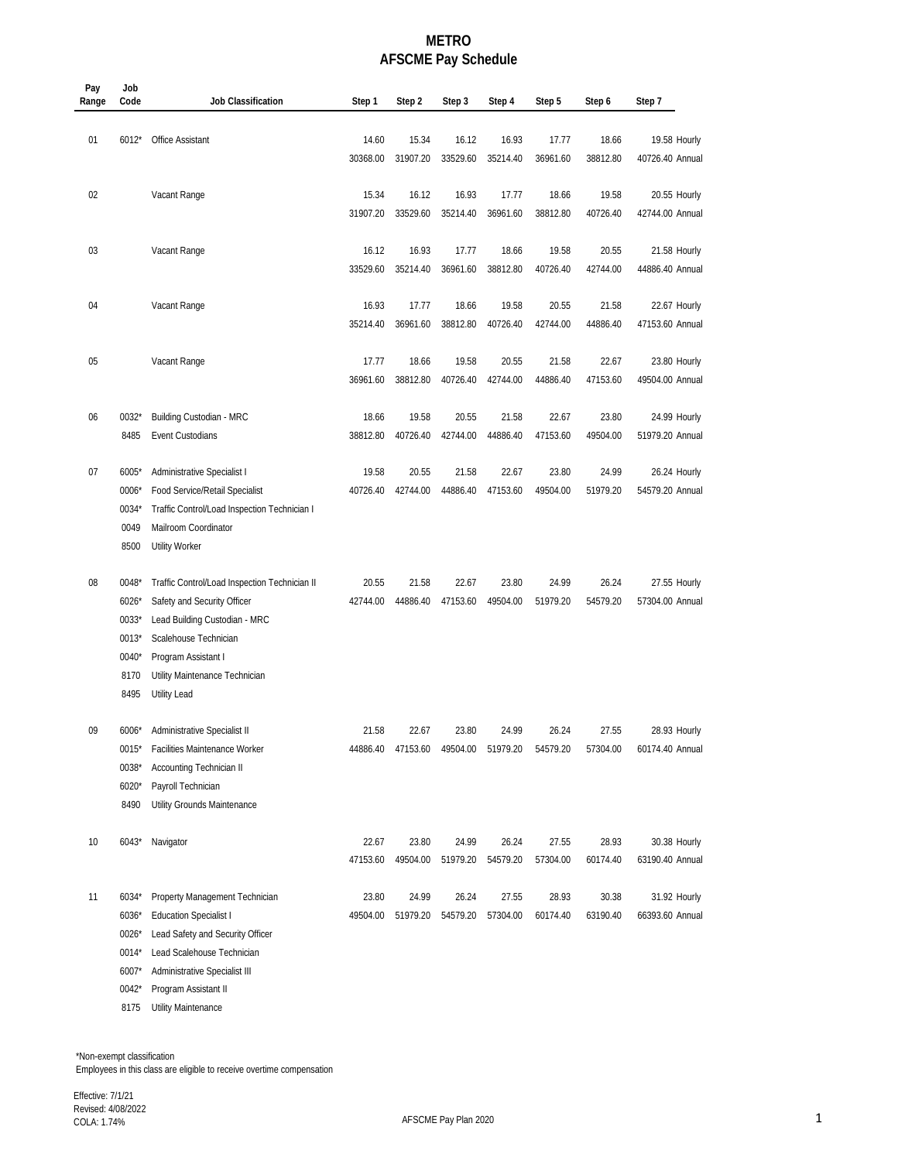## **METRO AFSCME Pay Schedule**

| Pay<br>Range | Job<br>Code                                                 | <b>Job Classification</b>                                                                                                                                                                                                | Step 1            | Step 2            | Step 3                     | Step 4            | Step 5            | Step 6            | Step 7                          |
|--------------|-------------------------------------------------------------|--------------------------------------------------------------------------------------------------------------------------------------------------------------------------------------------------------------------------|-------------------|-------------------|----------------------------|-------------------|-------------------|-------------------|---------------------------------|
| 01           | $6012*$                                                     | <b>Office Assistant</b>                                                                                                                                                                                                  | 14.60<br>30368.00 | 15.34<br>31907.20 | 16.12<br>33529.60          | 16.93<br>35214.40 | 17.77<br>36961.60 | 18.66<br>38812.80 | 19.58 Hourly<br>40726.40 Annual |
| 02           |                                                             | Vacant Range                                                                                                                                                                                                             | 15.34<br>31907.20 | 16.12<br>33529.60 | 16.93<br>35214.40          | 17.77<br>36961.60 | 18.66<br>38812.80 | 19.58<br>40726.40 | 20.55 Hourly<br>42744.00 Annual |
| 03           |                                                             | Vacant Range                                                                                                                                                                                                             | 16.12<br>33529.60 | 16.93<br>35214.40 | 17.77<br>36961.60          | 18.66<br>38812.80 | 19.58<br>40726.40 | 20.55<br>42744.00 | 21.58 Hourly<br>44886.40 Annual |
| 04           |                                                             | Vacant Range                                                                                                                                                                                                             | 16.93<br>35214.40 | 17.77<br>36961.60 | 18.66<br>38812.80          | 19.58<br>40726.40 | 20.55<br>42744.00 | 21.58<br>44886.40 | 22.67 Hourly<br>47153.60 Annual |
| 05           |                                                             | Vacant Range                                                                                                                                                                                                             | 17.77<br>36961.60 | 18.66<br>38812.80 | 19.58<br>40726.40          | 20.55<br>42744.00 | 21.58<br>44886.40 | 22.67<br>47153.60 | 23.80 Hourly<br>49504.00 Annual |
| 06           | $0032*$<br>8485                                             | Building Custodian - MRC<br>Event Custodians                                                                                                                                                                             | 18.66<br>38812.80 | 19.58<br>40726.40 | 20.55<br>42744.00          | 21.58<br>44886.40 | 22.67<br>47153.60 | 23.80<br>49504.00 | 24.99 Hourly<br>51979.20 Annual |
| 07           | $6005*$<br>0006*<br>0034*<br>0049<br>8500                   | Administrative Specialist I<br>Food Service/Retail Specialist<br>Traffic Control/Load Inspection Technician I<br>Mailroom Coordinator<br><b>Utility Worker</b>                                                           | 19.58<br>40726.40 | 20.55<br>42744.00 | 21.58<br>44886.40          | 22.67<br>47153.60 | 23.80<br>49504.00 | 24.99<br>51979.20 | 26.24 Hourly<br>54579.20 Annual |
| 08           | 0048*<br>6026*<br>0033*<br>$0013*$<br>0040*<br>8170<br>8495 | Traffic Control/Load Inspection Technician II<br>Safety and Security Officer<br>Lead Building Custodian - MRC<br>Scalehouse Technician<br>Program Assistant I<br>Utility Maintenance Technician<br><b>Utility Lead</b>   | 20.55<br>42744.00 | 21.58<br>44886.40 | 22.67<br>47153.60          | 23.80<br>49504.00 | 24.99<br>51979.20 | 26.24<br>54579.20 | 27.55 Hourly<br>57304.00 Annual |
| 09           | $6006*$<br>$0015*$<br>0038*<br>6020*<br>8490                | Administrative Specialist II<br>Facilities Maintenance Worker<br>Accounting Technician II<br>Payroll Technician<br>Utility Grounds Maintenance                                                                           | 21.58<br>44886.40 | 22.67<br>47153.60 | 23.80<br>49504.00 51979.20 | 24.99             | 26.24<br>54579.20 | 27.55<br>57304.00 | 28.93 Hourly<br>60174.40 Annual |
| 10           | $6043*$                                                     | Navigator                                                                                                                                                                                                                | 22.67<br>47153.60 | 23.80<br>49504.00 | 24.99<br>51979.20          | 26.24<br>54579.20 | 27.55<br>57304.00 | 28.93<br>60174.40 | 30.38 Hourly<br>63190.40 Annual |
| 11           | 6034*<br>6036*<br>0026*<br>0014*<br>6007*<br>0042*<br>8175  | Property Management Technician<br><b>Education Specialist I</b><br>Lead Safety and Security Officer<br>Lead Scalehouse Technician<br>Administrative Specialist III<br>Program Assistant II<br><b>Utility Maintenance</b> | 23.80<br>49504.00 | 24.99<br>51979.20 | 26.24<br>54579.20          | 27.55<br>57304.00 | 28.93<br>60174.40 | 30.38<br>63190.40 | 31.92 Hourly<br>66393.60 Annual |

 \*Non-exempt classification Employees in this class are eligible to receive overtime compensation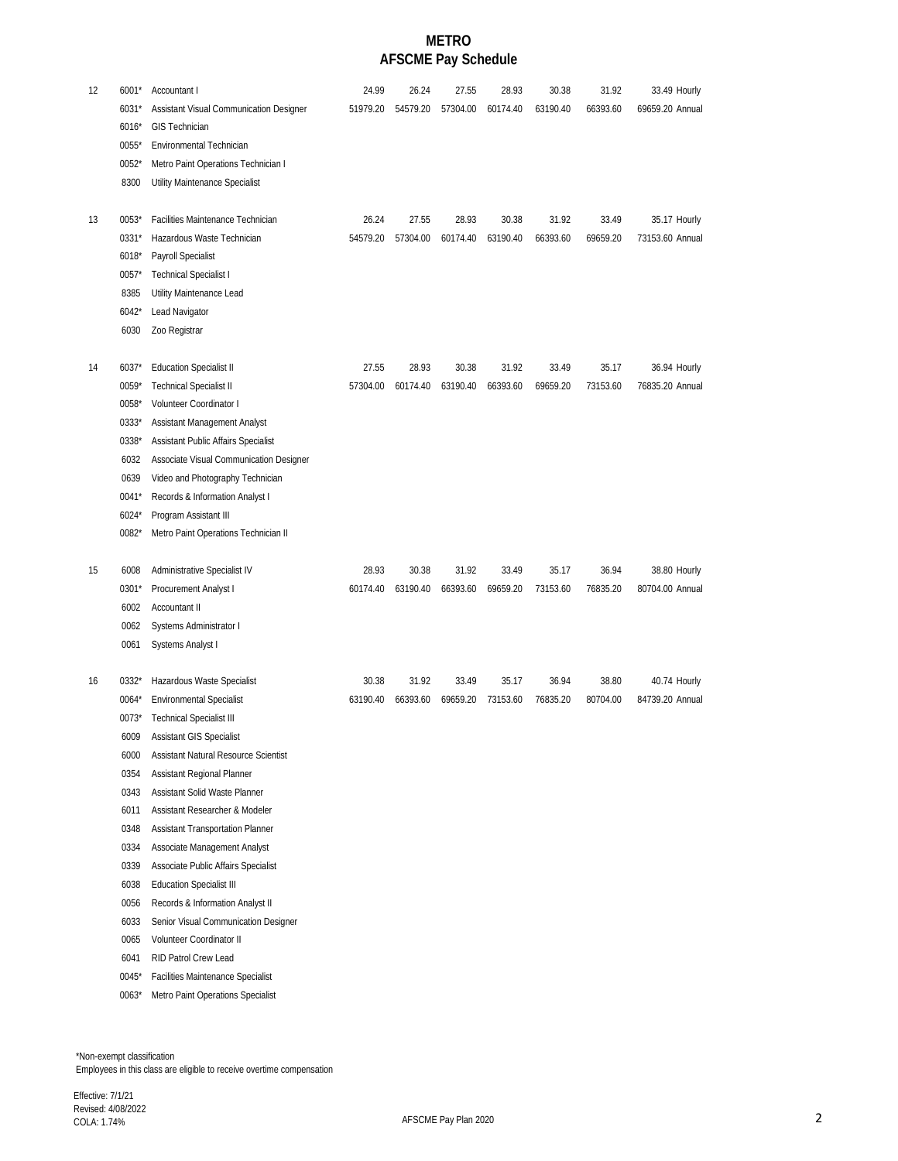## **METRO AFSCME Pay Schedule**

| 12 | 6001*<br>6031*  | Accountant I<br>Assistant Visual Communication Designer                | 24.99<br>51979.20 | 26.24<br>54579.20 | 27.55<br>57304.00 | 28.93<br>60174.40 | 30.38<br>63190.40 | 31.92<br>66393.60 | 33.49 Hourly<br>69659.20 Annual |
|----|-----------------|------------------------------------------------------------------------|-------------------|-------------------|-------------------|-------------------|-------------------|-------------------|---------------------------------|
|    | 6016*           | <b>GIS Technician</b>                                                  |                   |                   |                   |                   |                   |                   |                                 |
|    | 0055*           | Environmental Technician                                               |                   |                   |                   |                   |                   |                   |                                 |
|    | $0052*$         | Metro Paint Operations Technician I                                    |                   |                   |                   |                   |                   |                   |                                 |
|    | 8300            | Utility Maintenance Specialist                                         |                   |                   |                   |                   |                   |                   |                                 |
| 13 | 0053*           | Facilities Maintenance Technician                                      | 26.24             | 27.55             | 28.93             | 30.38             | 31.92             | 33.49             | 35.17 Hourly                    |
|    | 0331*           | Hazardous Waste Technician                                             | 54579.20          | 57304.00          | 60174.40          | 63190.40          | 66393.60          | 69659.20          | 73153.60 Annual                 |
|    | 6018*           | Payroll Specialist                                                     |                   |                   |                   |                   |                   |                   |                                 |
|    | 0057*           | <b>Technical Specialist I</b>                                          |                   |                   |                   |                   |                   |                   |                                 |
|    | 8385<br>$6042*$ | Utility Maintenance Lead<br>Lead Navigator                             |                   |                   |                   |                   |                   |                   |                                 |
|    | 6030            | Zoo Registrar                                                          |                   |                   |                   |                   |                   |                   |                                 |
|    |                 |                                                                        |                   |                   |                   |                   |                   |                   |                                 |
| 14 | $6037*$         | <b>Education Specialist II</b>                                         | 27.55             | 28.93             | 30.38             | 31.92             | 33.49             | 35.17             | 36.94 Hourly                    |
|    | 0059*           | <b>Technical Specialist II</b>                                         | 57304.00          | 60174.40          | 63190.40          | 66393.60          | 69659.20          | 73153.60          | 76835.20 Annual                 |
|    | 0058*           | Volunteer Coordinator I                                                |                   |                   |                   |                   |                   |                   |                                 |
|    | 0333*           | Assistant Management Analyst                                           |                   |                   |                   |                   |                   |                   |                                 |
|    | 0338*           | Assistant Public Affairs Specialist                                    |                   |                   |                   |                   |                   |                   |                                 |
|    | 6032            | Associate Visual Communication Designer                                |                   |                   |                   |                   |                   |                   |                                 |
|    | 0639            | Video and Photography Technician                                       |                   |                   |                   |                   |                   |                   |                                 |
|    | $0041*$         | Records & Information Analyst I                                        |                   |                   |                   |                   |                   |                   |                                 |
|    | 6024*           | Program Assistant III                                                  |                   |                   |                   |                   |                   |                   |                                 |
|    | 0082*           | Metro Paint Operations Technician II                                   |                   |                   |                   |                   |                   |                   |                                 |
| 15 | 6008            | Administrative Specialist IV                                           | 28.93             | 30.38             | 31.92             | 33.49             | 35.17             | 36.94             | 38.80 Hourly                    |
|    | $0301*$         | Procurement Analyst I                                                  | 60174.40          | 63190.40          | 66393.60          | 69659.20          | 73153.60          | 76835.20          | 80704.00 Annual                 |
|    | 6002            | <b>Accountant II</b>                                                   |                   |                   |                   |                   |                   |                   |                                 |
|    | 0062            | Systems Administrator I                                                |                   |                   |                   |                   |                   |                   |                                 |
|    | 0061            | Systems Analyst I                                                      |                   |                   |                   |                   |                   |                   |                                 |
| 16 | 0332*           | Hazardous Waste Specialist                                             | 30.38             | 31.92             | 33.49             | 35.17             | 36.94             | 38.80             | 40.74 Hourly                    |
|    | $0064*$         | <b>Environmental Specialist</b>                                        | 63190.40          | 66393.60          | 69659.20          | 73153.60          | 76835.20          | 80704.00          | 84739.20 Annual                 |
|    | $0073*$         | Technical Specialist III                                               |                   |                   |                   |                   |                   |                   |                                 |
|    | 6009            | Assistant GIS Specialist                                               |                   |                   |                   |                   |                   |                   |                                 |
|    | 6000            | Assistant Natural Resource Scientist                                   |                   |                   |                   |                   |                   |                   |                                 |
|    | 0354            | Assistant Regional Planner                                             |                   |                   |                   |                   |                   |                   |                                 |
|    | 0343            | Assistant Solid Waste Planner                                          |                   |                   |                   |                   |                   |                   |                                 |
|    | 6011            | Assistant Researcher & Modeler                                         |                   |                   |                   |                   |                   |                   |                                 |
|    | 0348            | <b>Assistant Transportation Planner</b>                                |                   |                   |                   |                   |                   |                   |                                 |
|    | 0334            | Associate Management Analyst                                           |                   |                   |                   |                   |                   |                   |                                 |
|    | 0339<br>6038    | Associate Public Affairs Specialist<br><b>Education Specialist III</b> |                   |                   |                   |                   |                   |                   |                                 |
|    | 0056            | Records & Information Analyst II                                       |                   |                   |                   |                   |                   |                   |                                 |
|    | 6033            | Senior Visual Communication Designer                                   |                   |                   |                   |                   |                   |                   |                                 |
|    | 0065            | Volunteer Coordinator II                                               |                   |                   |                   |                   |                   |                   |                                 |
|    | 6041            | RID Patrol Crew Lead                                                   |                   |                   |                   |                   |                   |                   |                                 |
|    | 0045*           | <b>Facilities Maintenance Specialist</b>                               |                   |                   |                   |                   |                   |                   |                                 |
|    | $0063*$         | Metro Paint Operations Specialist                                      |                   |                   |                   |                   |                   |                   |                                 |

 \*Non-exempt classification Employees in this class are eligible to receive overtime compensation